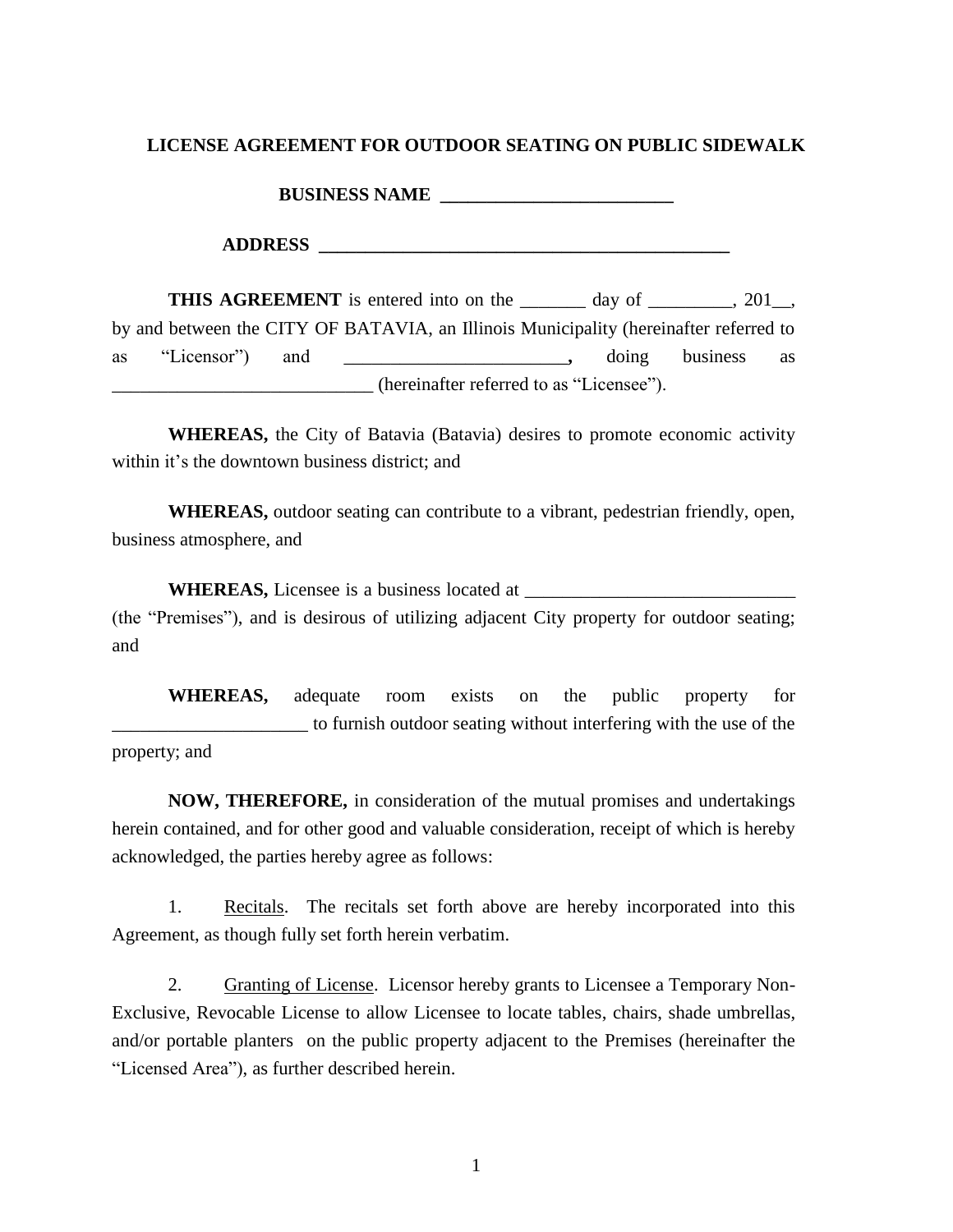#### **LICENSE AGREEMENT FOR OUTDOOR SEATING ON PUBLIC SIDEWALK**

**BUSINESS NAME \_\_\_\_\_\_\_\_\_\_\_\_\_\_\_\_\_\_\_\_\_\_\_\_\_**

**THIS AGREEMENT** is entered into on the \_\_\_\_\_\_\_ day of \_\_\_\_\_\_\_, 201\_, by and between the CITY OF BATAVIA, an Illinois Municipality (hereinafter referred to as "Licensor") and \_\_\_\_\_\_\_\_\_\_\_\_\_\_\_\_\_\_\_\_\_\_\_\_**,** doing business as \_\_\_\_\_\_\_\_\_\_\_\_\_\_\_\_\_\_\_\_\_\_\_\_\_\_\_\_ (hereinafter referred to as "Licensee").

**WHEREAS,** the City of Batavia (Batavia) desires to promote economic activity within it's the downtown business district; and

**WHEREAS,** outdoor seating can contribute to a vibrant, pedestrian friendly, open, business atmosphere, and

**WHEREAS,** Licensee is a business located at \_\_\_\_\_\_\_\_\_\_\_\_\_\_\_\_\_\_\_\_\_\_\_\_\_\_\_\_\_ (the "Premises"), and is desirous of utilizing adjacent City property for outdoor seating; and

**WHEREAS,** adequate room exists on the public property for \_\_\_\_\_\_\_\_\_\_\_\_\_\_\_\_\_\_\_\_\_ to furnish outdoor seating without interfering with the use of the property; and

**NOW, THEREFORE,** in consideration of the mutual promises and undertakings herein contained, and for other good and valuable consideration, receipt of which is hereby acknowledged, the parties hereby agree as follows:

1. Recitals. The recitals set forth above are hereby incorporated into this Agreement, as though fully set forth herein verbatim.

2. Granting of License. Licensor hereby grants to Licensee a Temporary Non-Exclusive, Revocable License to allow Licensee to locate tables, chairs, shade umbrellas, and/or portable planters on the public property adjacent to the Premises (hereinafter the "Licensed Area"), as further described herein.

1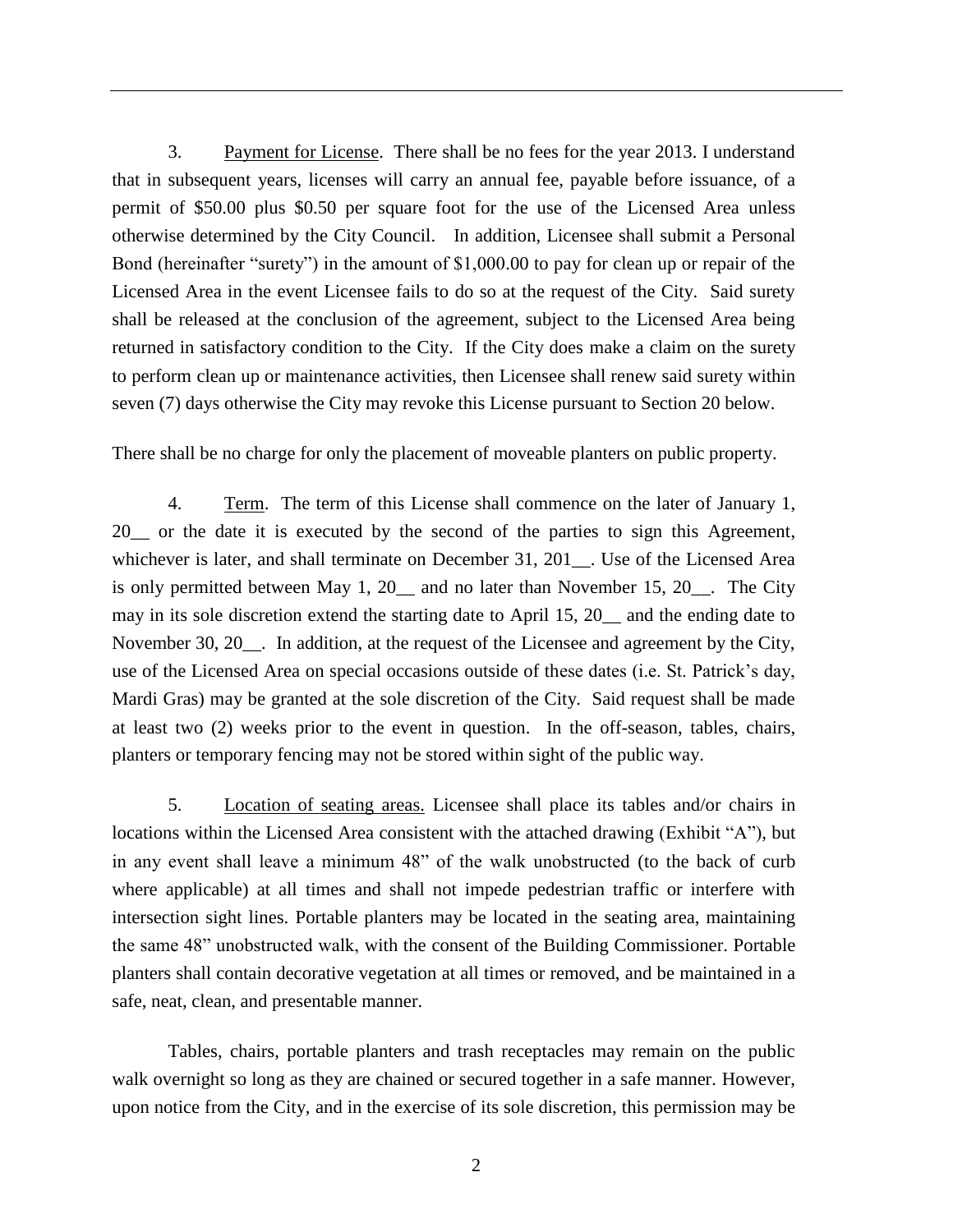3. Payment for License. There shall be no fees for the year 2013. I understand that in subsequent years, licenses will carry an annual fee, payable before issuance, of a permit of \$50.00 plus \$0.50 per square foot for the use of the Licensed Area unless otherwise determined by the City Council. In addition, Licensee shall submit a Personal Bond (hereinafter "surety") in the amount of \$1,000.00 to pay for clean up or repair of the Licensed Area in the event Licensee fails to do so at the request of the City. Said surety shall be released at the conclusion of the agreement, subject to the Licensed Area being returned in satisfactory condition to the City. If the City does make a claim on the surety to perform clean up or maintenance activities, then Licensee shall renew said surety within seven (7) days otherwise the City may revoke this License pursuant to Section 20 below.

There shall be no charge for only the placement of moveable planters on public property.

4. Term. The term of this License shall commence on the later of January 1, 20\_\_ or the date it is executed by the second of the parties to sign this Agreement, whichever is later, and shall terminate on December 31, 201<sub>\_</sub>. Use of the Licensed Area is only permitted between May 1, 20\_\_ and no later than November 15, 20\_\_. The City may in its sole discretion extend the starting date to April 15, 20\_\_ and the ending date to November 30, 20\_\_. In addition, at the request of the Licensee and agreement by the City, use of the Licensed Area on special occasions outside of these dates (i.e. St. Patrick's day, Mardi Gras) may be granted at the sole discretion of the City. Said request shall be made at least two (2) weeks prior to the event in question. In the off-season, tables, chairs, planters or temporary fencing may not be stored within sight of the public way.

5. Location of seating areas. Licensee shall place its tables and/or chairs in locations within the Licensed Area consistent with the attached drawing (Exhibit "A"), but in any event shall leave a minimum 48" of the walk unobstructed (to the back of curb where applicable) at all times and shall not impede pedestrian traffic or interfere with intersection sight lines. Portable planters may be located in the seating area, maintaining the same 48" unobstructed walk, with the consent of the Building Commissioner. Portable planters shall contain decorative vegetation at all times or removed, and be maintained in a safe, neat, clean, and presentable manner.

Tables, chairs, portable planters and trash receptacles may remain on the public walk overnight so long as they are chained or secured together in a safe manner. However, upon notice from the City, and in the exercise of its sole discretion, this permission may be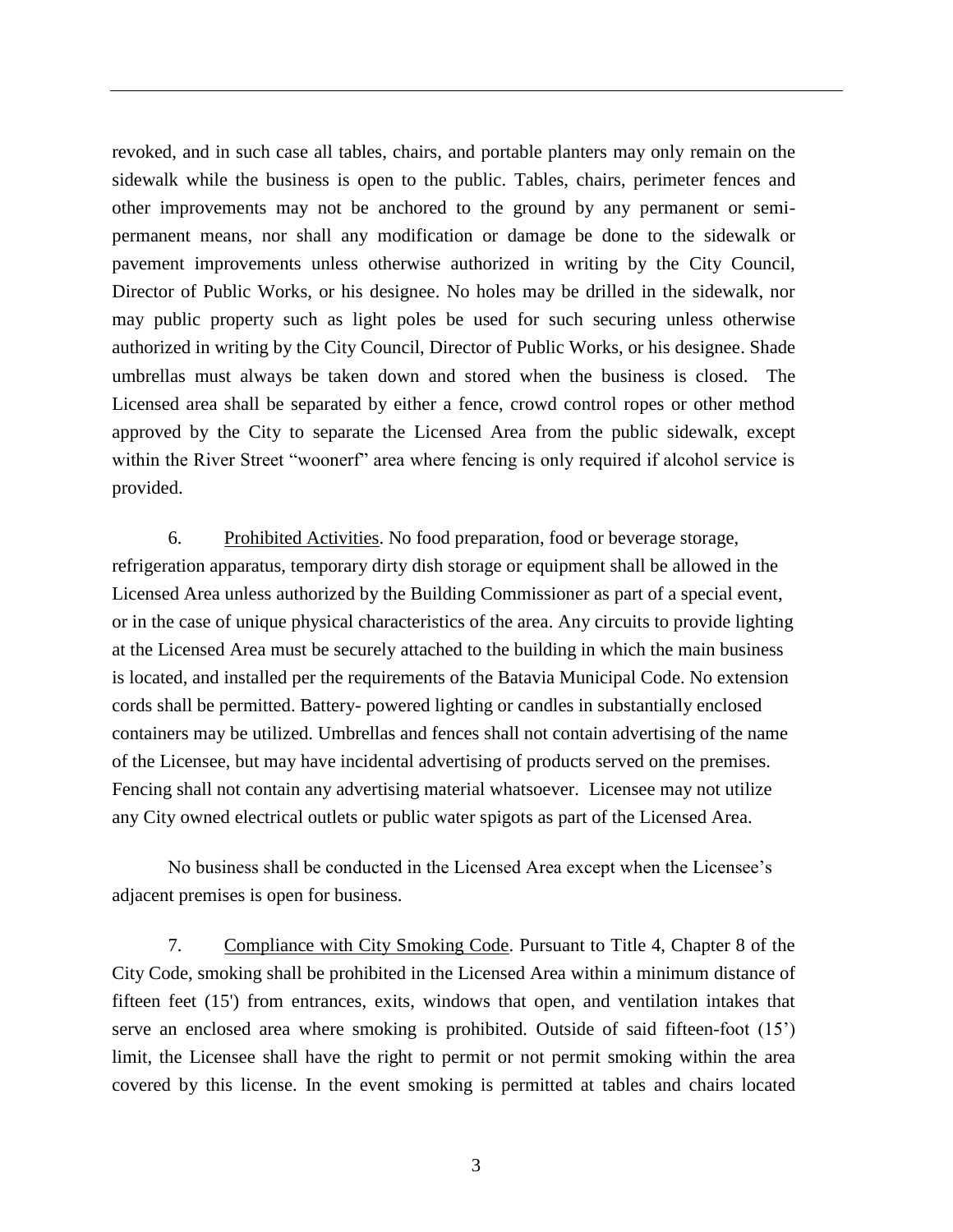revoked, and in such case all tables, chairs, and portable planters may only remain on the sidewalk while the business is open to the public. Tables, chairs, perimeter fences and other improvements may not be anchored to the ground by any permanent or semipermanent means, nor shall any modification or damage be done to the sidewalk or pavement improvements unless otherwise authorized in writing by the City Council, Director of Public Works, or his designee. No holes may be drilled in the sidewalk, nor may public property such as light poles be used for such securing unless otherwise authorized in writing by the City Council, Director of Public Works, or his designee. Shade umbrellas must always be taken down and stored when the business is closed. The Licensed area shall be separated by either a fence, crowd control ropes or other method approved by the City to separate the Licensed Area from the public sidewalk, except within the River Street "woonerf" area where fencing is only required if alcohol service is provided.

6. Prohibited Activities. No food preparation, food or beverage storage, refrigeration apparatus, temporary dirty dish storage or equipment shall be allowed in the Licensed Area unless authorized by the Building Commissioner as part of a special event, or in the case of unique physical characteristics of the area. Any circuits to provide lighting at the Licensed Area must be securely attached to the building in which the main business is located, and installed per the requirements of the Batavia Municipal Code. No extension cords shall be permitted. Battery- powered lighting or candles in substantially enclosed containers may be utilized. Umbrellas and fences shall not contain advertising of the name of the Licensee, but may have incidental advertising of products served on the premises. Fencing shall not contain any advertising material whatsoever. Licensee may not utilize any City owned electrical outlets or public water spigots as part of the Licensed Area.

No business shall be conducted in the Licensed Area except when the Licensee's adjacent premises is open for business.

7. Compliance with City Smoking Code. Pursuant to Title 4, Chapter 8 of the City Code, smoking shall be prohibited in the Licensed Area within a minimum distance of fifteen feet (15') from entrances, exits, windows that open, and ventilation intakes that serve an enclosed area where smoking is prohibited. Outside of said fifteen-foot (15') limit, the Licensee shall have the right to permit or not permit smoking within the area covered by this license. In the event smoking is permitted at tables and chairs located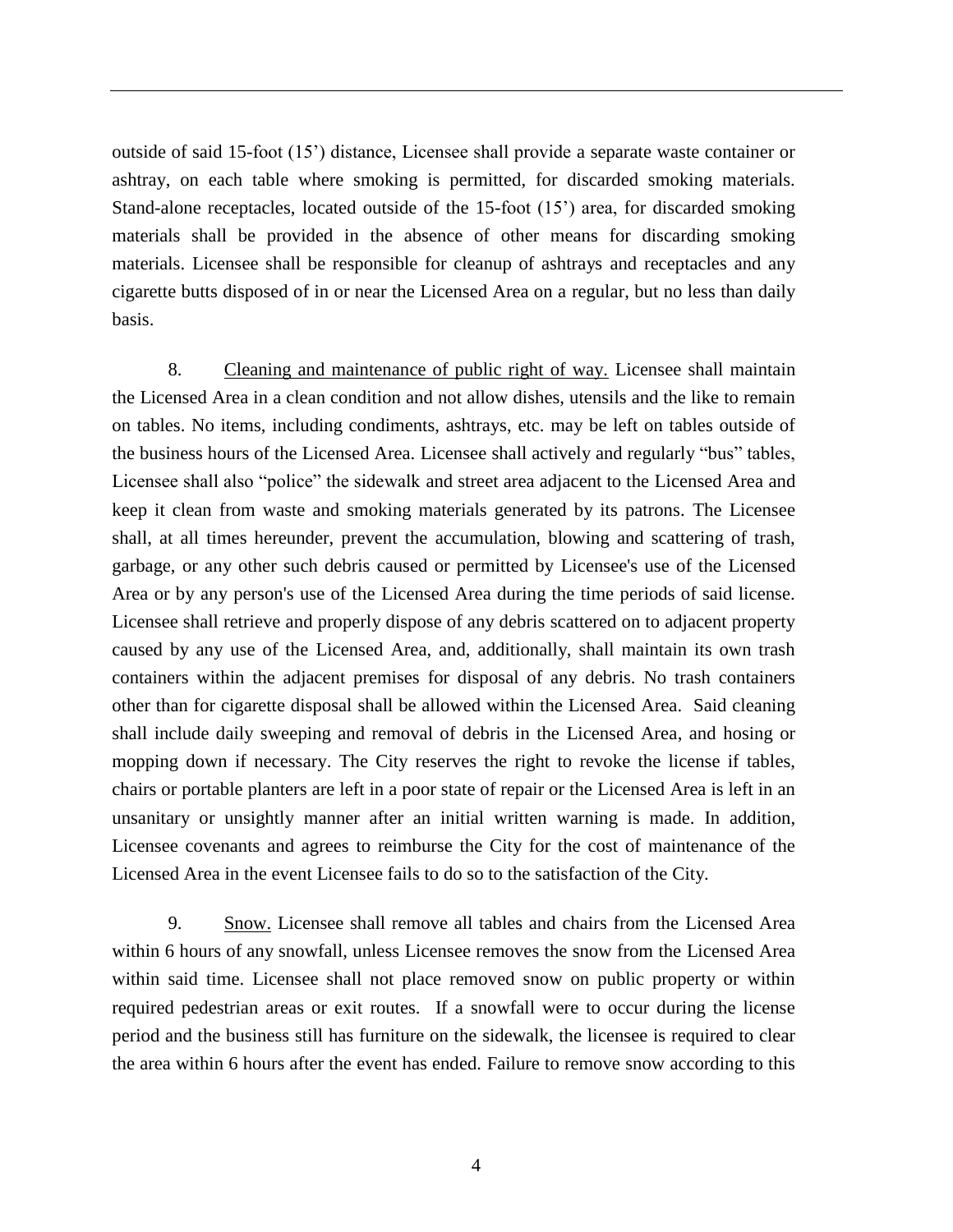outside of said 15-foot (15') distance, Licensee shall provide a separate waste container or ashtray, on each table where smoking is permitted, for discarded smoking materials. Stand-alone receptacles, located outside of the 15-foot (15') area, for discarded smoking materials shall be provided in the absence of other means for discarding smoking materials. Licensee shall be responsible for cleanup of ashtrays and receptacles and any cigarette butts disposed of in or near the Licensed Area on a regular, but no less than daily basis.

8. Cleaning and maintenance of public right of way. Licensee shall maintain the Licensed Area in a clean condition and not allow dishes, utensils and the like to remain on tables. No items, including condiments, ashtrays, etc. may be left on tables outside of the business hours of the Licensed Area. Licensee shall actively and regularly "bus" tables, Licensee shall also "police" the sidewalk and street area adjacent to the Licensed Area and keep it clean from waste and smoking materials generated by its patrons. The Licensee shall, at all times hereunder, prevent the accumulation, blowing and scattering of trash, garbage, or any other such debris caused or permitted by Licensee's use of the Licensed Area or by any person's use of the Licensed Area during the time periods of said license. Licensee shall retrieve and properly dispose of any debris scattered on to adjacent property caused by any use of the Licensed Area, and, additionally, shall maintain its own trash containers within the adjacent premises for disposal of any debris. No trash containers other than for cigarette disposal shall be allowed within the Licensed Area. Said cleaning shall include daily sweeping and removal of debris in the Licensed Area, and hosing or mopping down if necessary. The City reserves the right to revoke the license if tables, chairs or portable planters are left in a poor state of repair or the Licensed Area is left in an unsanitary or unsightly manner after an initial written warning is made. In addition, Licensee covenants and agrees to reimburse the City for the cost of maintenance of the Licensed Area in the event Licensee fails to do so to the satisfaction of the City.

9. Snow. Licensee shall remove all tables and chairs from the Licensed Area within 6 hours of any snowfall, unless Licensee removes the snow from the Licensed Area within said time. Licensee shall not place removed snow on public property or within required pedestrian areas or exit routes. If a snowfall were to occur during the license period and the business still has furniture on the sidewalk, the licensee is required to clear the area within 6 hours after the event has ended. Failure to remove snow according to this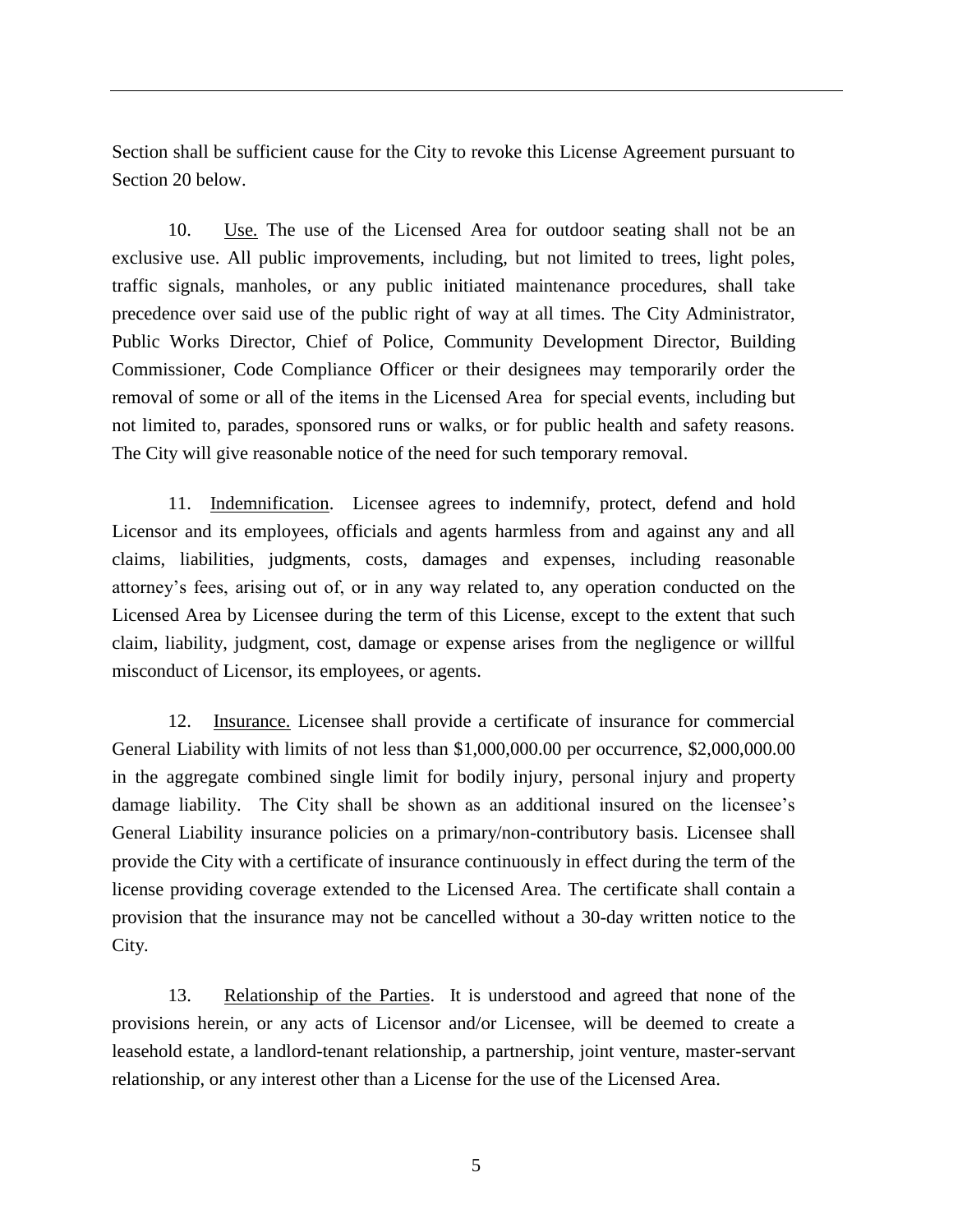Section shall be sufficient cause for the City to revoke this License Agreement pursuant to Section 20 below.

10. Use. The use of the Licensed Area for outdoor seating shall not be an exclusive use. All public improvements, including, but not limited to trees, light poles, traffic signals, manholes, or any public initiated maintenance procedures, shall take precedence over said use of the public right of way at all times. The City Administrator, Public Works Director, Chief of Police, Community Development Director, Building Commissioner, Code Compliance Officer or their designees may temporarily order the removal of some or all of the items in the Licensed Area for special events, including but not limited to, parades, sponsored runs or walks, or for public health and safety reasons. The City will give reasonable notice of the need for such temporary removal.

11. Indemnification. Licensee agrees to indemnify, protect, defend and hold Licensor and its employees, officials and agents harmless from and against any and all claims, liabilities, judgments, costs, damages and expenses, including reasonable attorney's fees, arising out of, or in any way related to, any operation conducted on the Licensed Area by Licensee during the term of this License, except to the extent that such claim, liability, judgment, cost, damage or expense arises from the negligence or willful misconduct of Licensor, its employees, or agents.

12. Insurance. Licensee shall provide a certificate of insurance for commercial General Liability with limits of not less than \$1,000,000.00 per occurrence, \$2,000,000.00 in the aggregate combined single limit for bodily injury, personal injury and property damage liability. The City shall be shown as an additional insured on the licensee's General Liability insurance policies on a primary/non-contributory basis. Licensee shall provide the City with a certificate of insurance continuously in effect during the term of the license providing coverage extended to the Licensed Area. The certificate shall contain a provision that the insurance may not be cancelled without a 30-day written notice to the City.

13. Relationship of the Parties. It is understood and agreed that none of the provisions herein, or any acts of Licensor and/or Licensee, will be deemed to create a leasehold estate, a landlord-tenant relationship, a partnership, joint venture, master-servant relationship, or any interest other than a License for the use of the Licensed Area.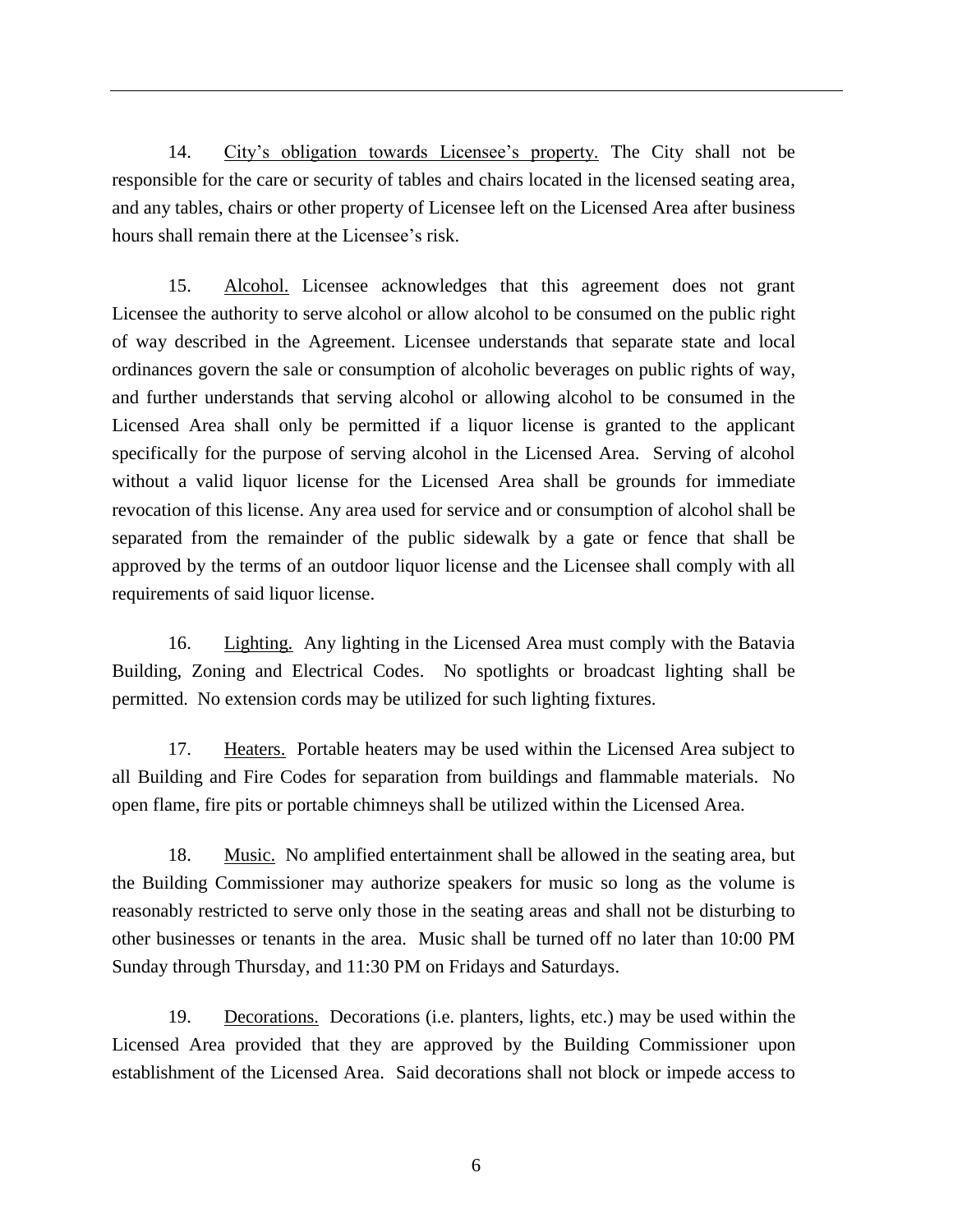14. City's obligation towards Licensee's property. The City shall not be responsible for the care or security of tables and chairs located in the licensed seating area, and any tables, chairs or other property of Licensee left on the Licensed Area after business hours shall remain there at the Licensee's risk.

15. Alcohol. Licensee acknowledges that this agreement does not grant Licensee the authority to serve alcohol or allow alcohol to be consumed on the public right of way described in the Agreement. Licensee understands that separate state and local ordinances govern the sale or consumption of alcoholic beverages on public rights of way, and further understands that serving alcohol or allowing alcohol to be consumed in the Licensed Area shall only be permitted if a liquor license is granted to the applicant specifically for the purpose of serving alcohol in the Licensed Area. Serving of alcohol without a valid liquor license for the Licensed Area shall be grounds for immediate revocation of this license. Any area used for service and or consumption of alcohol shall be separated from the remainder of the public sidewalk by a gate or fence that shall be approved by the terms of an outdoor liquor license and the Licensee shall comply with all requirements of said liquor license.

16. Lighting. Any lighting in the Licensed Area must comply with the Batavia Building, Zoning and Electrical Codes. No spotlights or broadcast lighting shall be permitted. No extension cords may be utilized for such lighting fixtures.

17. Heaters. Portable heaters may be used within the Licensed Area subject to all Building and Fire Codes for separation from buildings and flammable materials. No open flame, fire pits or portable chimneys shall be utilized within the Licensed Area.

18. Music. No amplified entertainment shall be allowed in the seating area, but the Building Commissioner may authorize speakers for music so long as the volume is reasonably restricted to serve only those in the seating areas and shall not be disturbing to other businesses or tenants in the area. Music shall be turned off no later than 10:00 PM Sunday through Thursday, and 11:30 PM on Fridays and Saturdays.

19. Decorations. Decorations (i.e. planters, lights, etc.) may be used within the Licensed Area provided that they are approved by the Building Commissioner upon establishment of the Licensed Area. Said decorations shall not block or impede access to

6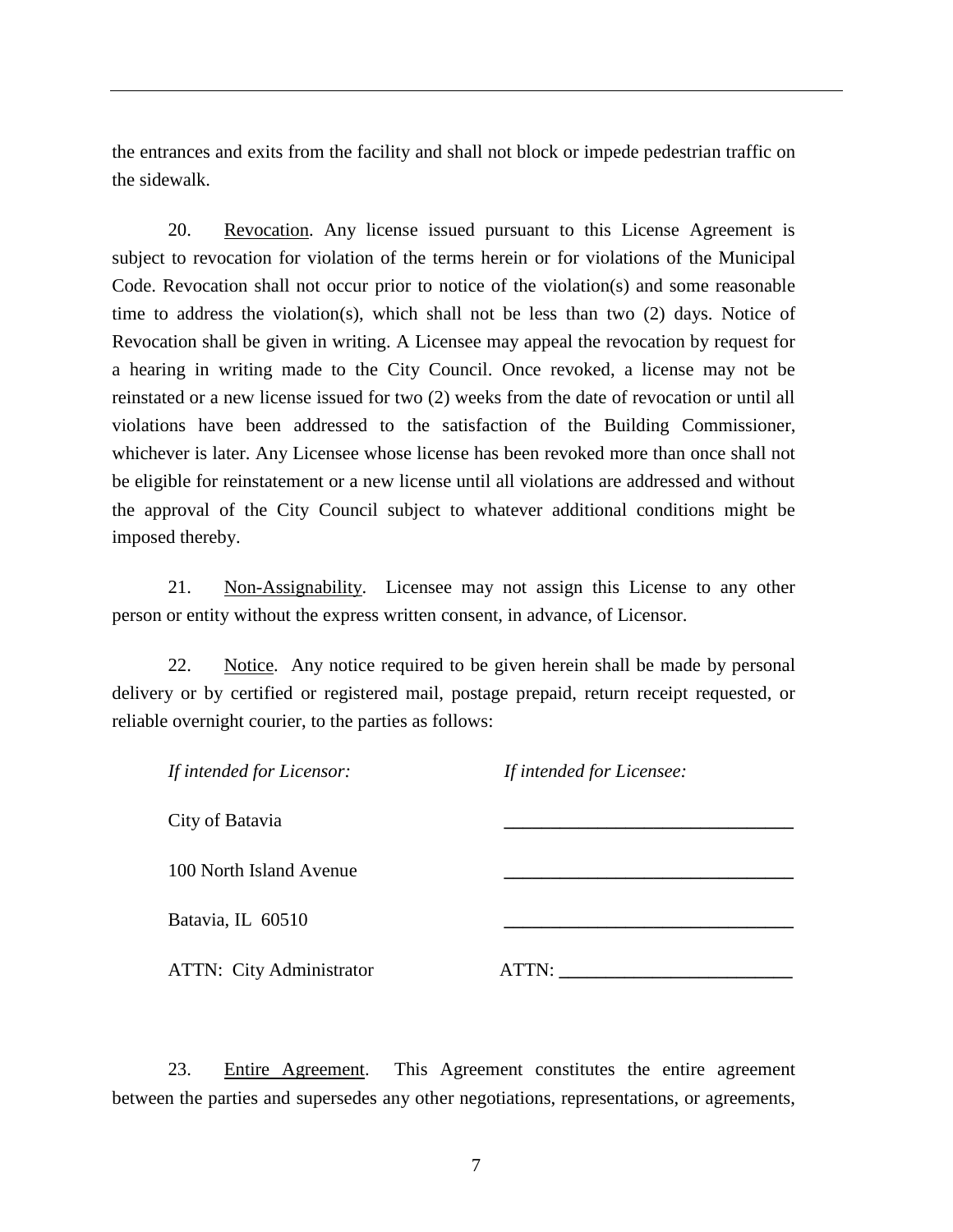the entrances and exits from the facility and shall not block or impede pedestrian traffic on the sidewalk.

20. Revocation. Any license issued pursuant to this License Agreement is subject to revocation for violation of the terms herein or for violations of the Municipal Code. Revocation shall not occur prior to notice of the violation(s) and some reasonable time to address the violation(s), which shall not be less than two (2) days. Notice of Revocation shall be given in writing. A Licensee may appeal the revocation by request for a hearing in writing made to the City Council. Once revoked, a license may not be reinstated or a new license issued for two (2) weeks from the date of revocation or until all violations have been addressed to the satisfaction of the Building Commissioner, whichever is later. Any Licensee whose license has been revoked more than once shall not be eligible for reinstatement or a new license until all violations are addressed and without the approval of the City Council subject to whatever additional conditions might be imposed thereby.

21. Non-Assignability. Licensee may not assign this License to any other person or entity without the express written consent, in advance, of Licensor.

22. Notice. Any notice required to be given herein shall be made by personal delivery or by certified or registered mail, postage prepaid, return receipt requested, or reliable overnight courier, to the parties as follows:

| If intended for Licensor:       | If intended for Licensee: |  |
|---------------------------------|---------------------------|--|
| City of Batavia                 |                           |  |
| 100 North Island Avenue         |                           |  |
| Batavia, IL 60510               |                           |  |
|                                 |                           |  |
| <b>ATTN:</b> City Administrator | ATTN:                     |  |

23. Entire Agreement. This Agreement constitutes the entire agreement between the parties and supersedes any other negotiations, representations, or agreements,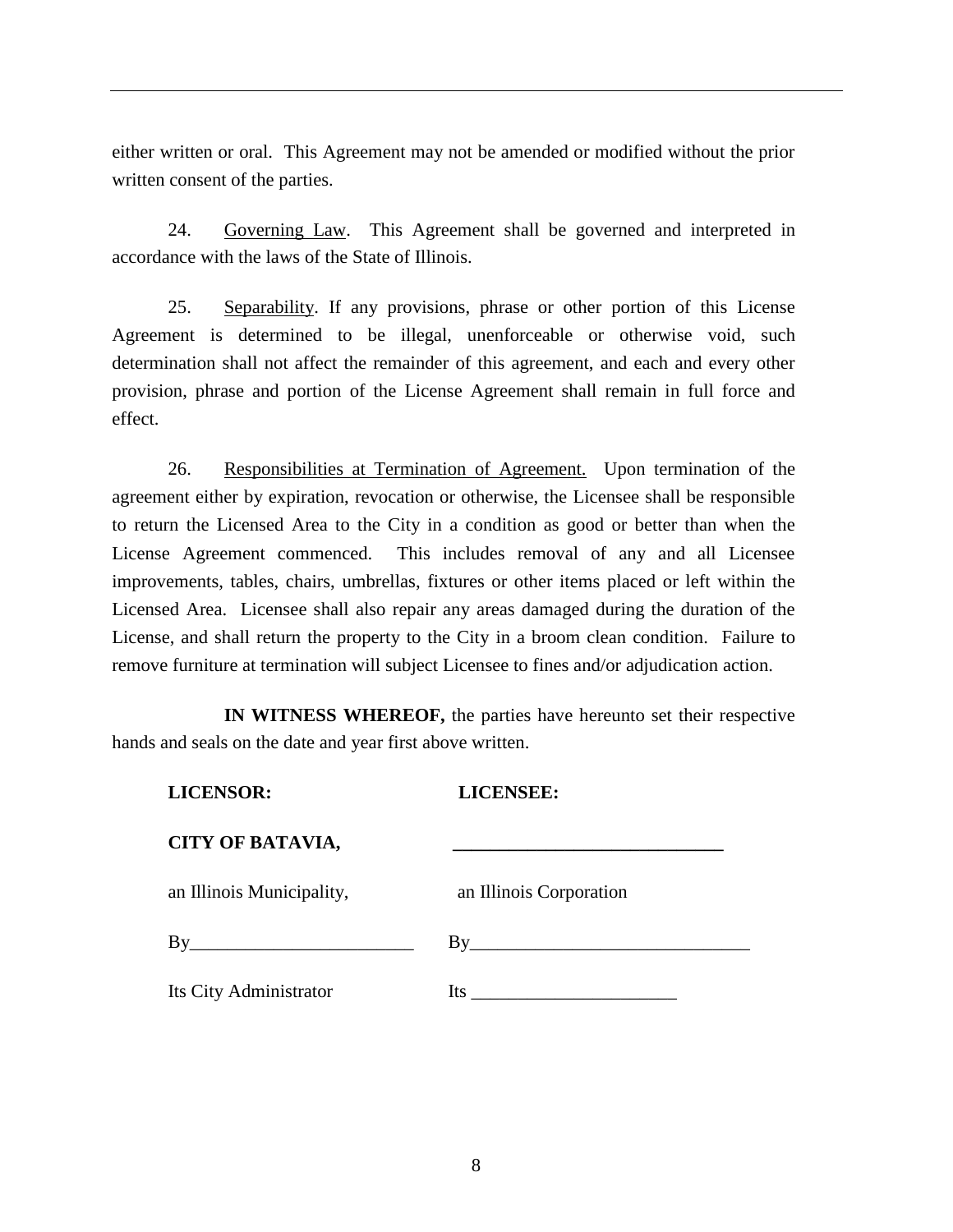either written or oral. This Agreement may not be amended or modified without the prior written consent of the parties.

24. Governing Law. This Agreement shall be governed and interpreted in accordance with the laws of the State of Illinois.

25. Separability. If any provisions, phrase or other portion of this License Agreement is determined to be illegal, unenforceable or otherwise void, such determination shall not affect the remainder of this agreement, and each and every other provision, phrase and portion of the License Agreement shall remain in full force and effect.

26. Responsibilities at Termination of Agreement. Upon termination of the agreement either by expiration, revocation or otherwise, the Licensee shall be responsible to return the Licensed Area to the City in a condition as good or better than when the License Agreement commenced. This includes removal of any and all Licensee improvements, tables, chairs, umbrellas, fixtures or other items placed or left within the Licensed Area. Licensee shall also repair any areas damaged during the duration of the License, and shall return the property to the City in a broom clean condition. Failure to remove furniture at termination will subject Licensee to fines and/or adjudication action.

**IN WITNESS WHEREOF,** the parties have hereunto set their respective hands and seals on the date and year first above written.

| <b>LICENSOR:</b>          | <b>LICENSEE:</b>             |
|---------------------------|------------------------------|
| <b>CITY OF BATAVIA,</b>   |                              |
| an Illinois Municipality, | an Illinois Corporation      |
| $\rm\,By$                 | By                           |
| Its City Administrator    | Its $\overline{\phantom{a}}$ |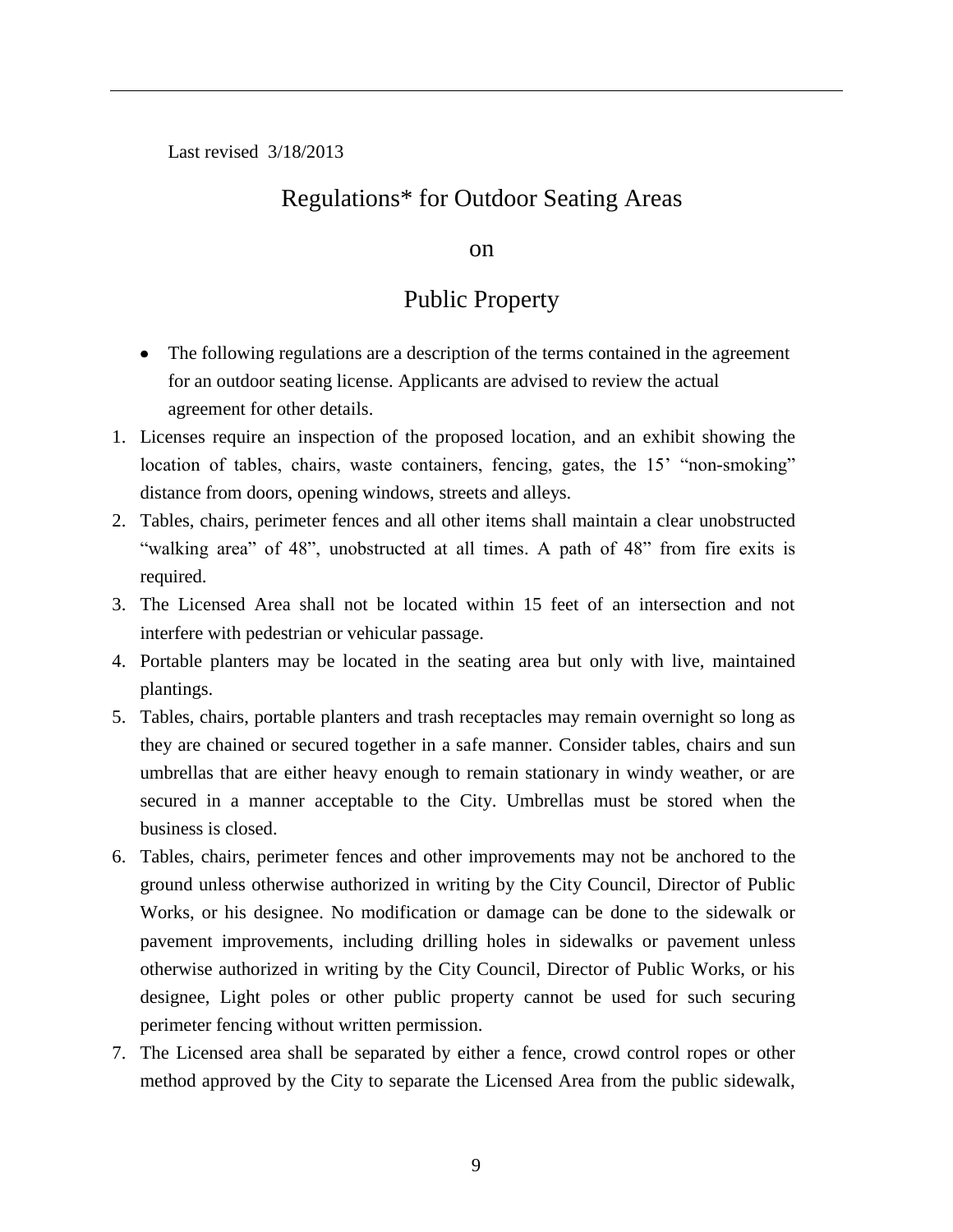Last revised 3/18/2013

# Regulations\* for Outdoor Seating Areas

#### on

## Public Property

- The following regulations are a description of the terms contained in the agreement for an outdoor seating license. Applicants are advised to review the actual agreement for other details.
- 1. Licenses require an inspection of the proposed location, and an exhibit showing the location of tables, chairs, waste containers, fencing, gates, the 15' "non-smoking" distance from doors, opening windows, streets and alleys.
- 2. Tables, chairs, perimeter fences and all other items shall maintain a clear unobstructed "walking area" of 48", unobstructed at all times. A path of 48" from fire exits is required.
- 3. The Licensed Area shall not be located within 15 feet of an intersection and not interfere with pedestrian or vehicular passage.
- 4. Portable planters may be located in the seating area but only with live, maintained plantings.
- 5. Tables, chairs, portable planters and trash receptacles may remain overnight so long as they are chained or secured together in a safe manner. Consider tables, chairs and sun umbrellas that are either heavy enough to remain stationary in windy weather, or are secured in a manner acceptable to the City. Umbrellas must be stored when the business is closed.
- 6. Tables, chairs, perimeter fences and other improvements may not be anchored to the ground unless otherwise authorized in writing by the City Council, Director of Public Works, or his designee. No modification or damage can be done to the sidewalk or pavement improvements, including drilling holes in sidewalks or pavement unless otherwise authorized in writing by the City Council, Director of Public Works, or his designee, Light poles or other public property cannot be used for such securing perimeter fencing without written permission.
- 7. The Licensed area shall be separated by either a fence, crowd control ropes or other method approved by the City to separate the Licensed Area from the public sidewalk,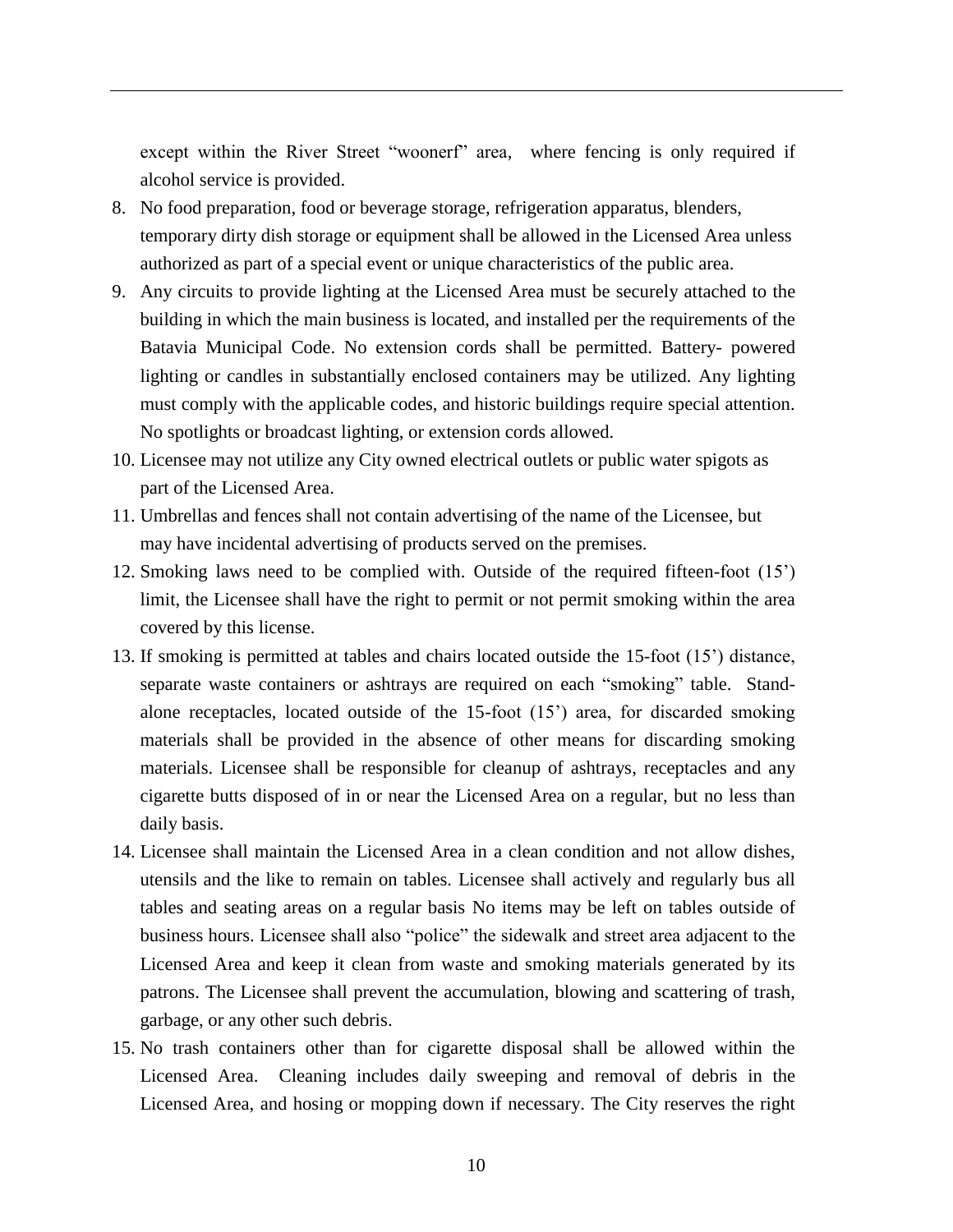except within the River Street "woonerf" area, where fencing is only required if alcohol service is provided.

- 8. No food preparation, food or beverage storage, refrigeration apparatus, blenders, temporary dirty dish storage or equipment shall be allowed in the Licensed Area unless authorized as part of a special event or unique characteristics of the public area.
- 9. Any circuits to provide lighting at the Licensed Area must be securely attached to the building in which the main business is located, and installed per the requirements of the Batavia Municipal Code. No extension cords shall be permitted. Battery- powered lighting or candles in substantially enclosed containers may be utilized. Any lighting must comply with the applicable codes, and historic buildings require special attention. No spotlights or broadcast lighting, or extension cords allowed.
- 10. Licensee may not utilize any City owned electrical outlets or public water spigots as part of the Licensed Area.
- 11. Umbrellas and fences shall not contain advertising of the name of the Licensee, but may have incidental advertising of products served on the premises.
- 12. Smoking laws need to be complied with. Outside of the required fifteen-foot (15') limit, the Licensee shall have the right to permit or not permit smoking within the area covered by this license.
- 13. If smoking is permitted at tables and chairs located outside the 15-foot (15') distance, separate waste containers or ashtrays are required on each "smoking" table. Standalone receptacles, located outside of the 15-foot (15') area, for discarded smoking materials shall be provided in the absence of other means for discarding smoking materials. Licensee shall be responsible for cleanup of ashtrays, receptacles and any cigarette butts disposed of in or near the Licensed Area on a regular, but no less than daily basis.
- 14. Licensee shall maintain the Licensed Area in a clean condition and not allow dishes, utensils and the like to remain on tables. Licensee shall actively and regularly bus all tables and seating areas on a regular basis No items may be left on tables outside of business hours. Licensee shall also "police" the sidewalk and street area adjacent to the Licensed Area and keep it clean from waste and smoking materials generated by its patrons. The Licensee shall prevent the accumulation, blowing and scattering of trash, garbage, or any other such debris.
- 15. No trash containers other than for cigarette disposal shall be allowed within the Licensed Area. Cleaning includes daily sweeping and removal of debris in the Licensed Area, and hosing or mopping down if necessary. The City reserves the right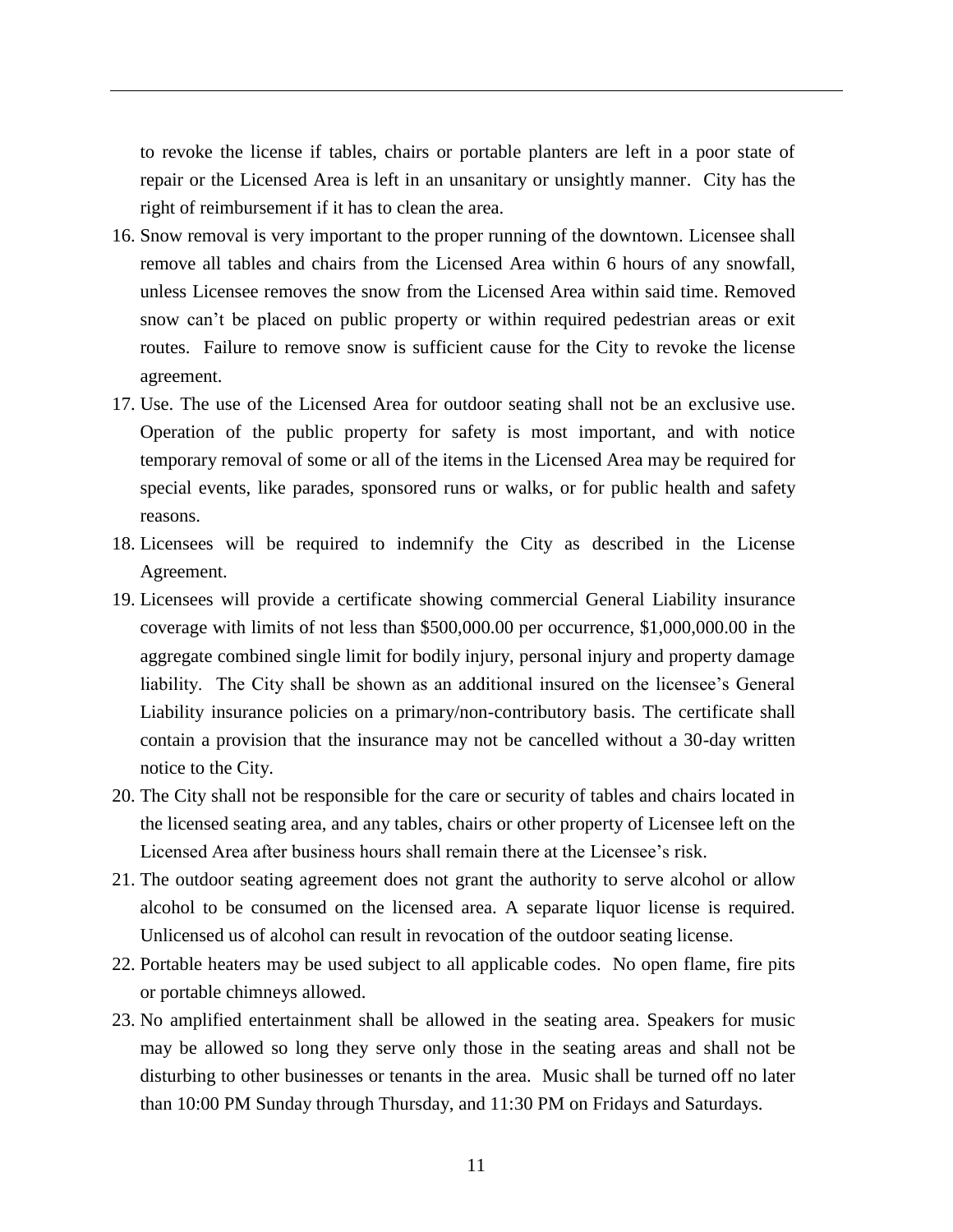to revoke the license if tables, chairs or portable planters are left in a poor state of repair or the Licensed Area is left in an unsanitary or unsightly manner. City has the right of reimbursement if it has to clean the area.

- 16. Snow removal is very important to the proper running of the downtown. Licensee shall remove all tables and chairs from the Licensed Area within 6 hours of any snowfall, unless Licensee removes the snow from the Licensed Area within said time. Removed snow can't be placed on public property or within required pedestrian areas or exit routes. Failure to remove snow is sufficient cause for the City to revoke the license agreement.
- 17. Use. The use of the Licensed Area for outdoor seating shall not be an exclusive use. Operation of the public property for safety is most important, and with notice temporary removal of some or all of the items in the Licensed Area may be required for special events, like parades, sponsored runs or walks, or for public health and safety reasons.
- 18. Licensees will be required to indemnify the City as described in the License Agreement.
- 19. Licensees will provide a certificate showing commercial General Liability insurance coverage with limits of not less than \$500,000.00 per occurrence, \$1,000,000.00 in the aggregate combined single limit for bodily injury, personal injury and property damage liability. The City shall be shown as an additional insured on the licensee's General Liability insurance policies on a primary/non-contributory basis. The certificate shall contain a provision that the insurance may not be cancelled without a 30-day written notice to the City.
- 20. The City shall not be responsible for the care or security of tables and chairs located in the licensed seating area, and any tables, chairs or other property of Licensee left on the Licensed Area after business hours shall remain there at the Licensee's risk.
- 21. The outdoor seating agreement does not grant the authority to serve alcohol or allow alcohol to be consumed on the licensed area. A separate liquor license is required. Unlicensed us of alcohol can result in revocation of the outdoor seating license.
- 22. Portable heaters may be used subject to all applicable codes. No open flame, fire pits or portable chimneys allowed.
- 23. No amplified entertainment shall be allowed in the seating area. Speakers for music may be allowed so long they serve only those in the seating areas and shall not be disturbing to other businesses or tenants in the area. Music shall be turned off no later than 10:00 PM Sunday through Thursday, and 11:30 PM on Fridays and Saturdays.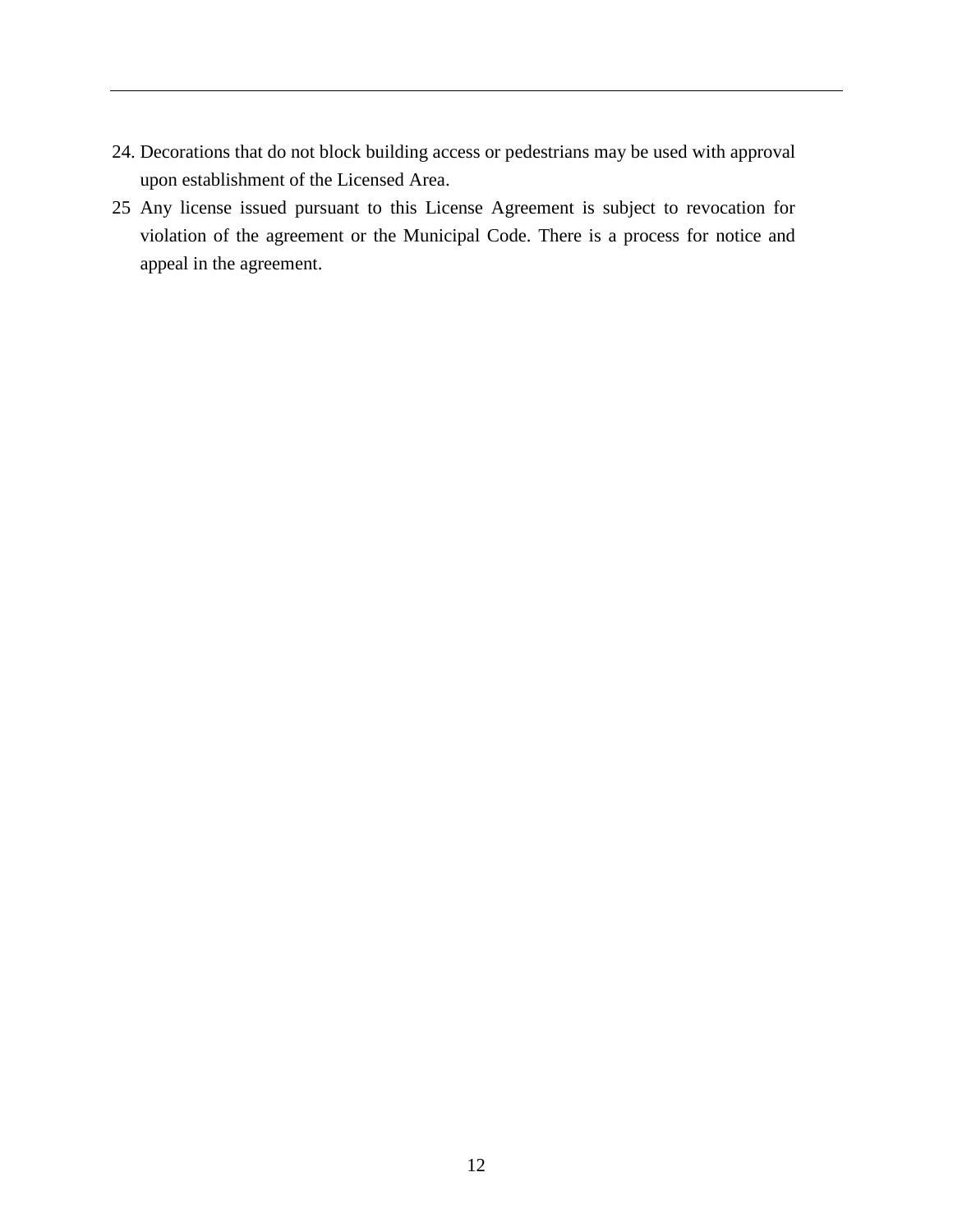- 24. Decorations that do not block building access or pedestrians may be used with approval upon establishment of the Licensed Area.
- 25 Any license issued pursuant to this License Agreement is subject to revocation for violation of the agreement or the Municipal Code. There is a process for notice and appeal in the agreement.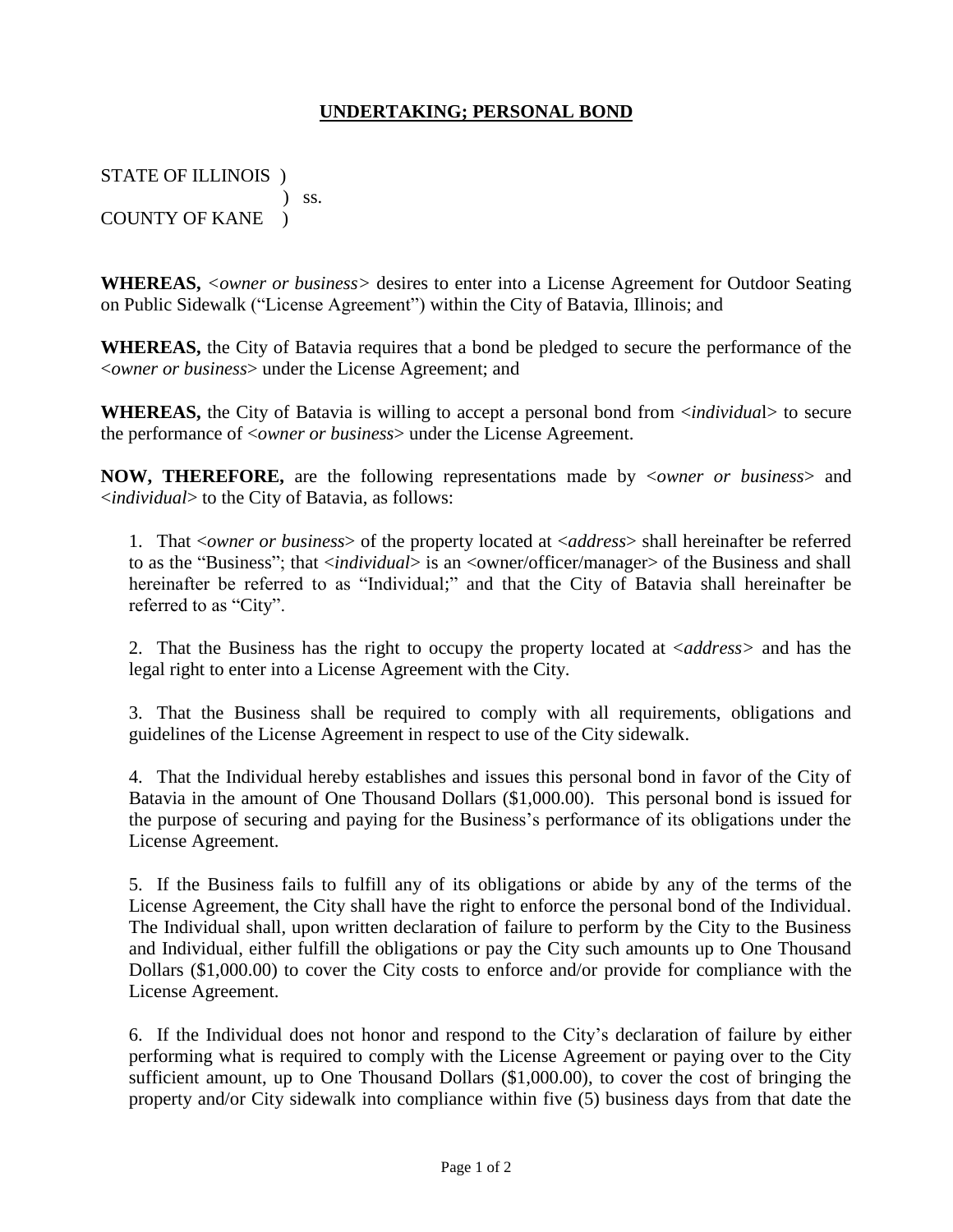### **UNDERTAKING; PERSONAL BOND**

STATE OF ILLINOIS )  $\sum$  ss. COUNTY OF KANE )

**WHEREAS,** *<owner or business>* desires to enter into a License Agreement for Outdoor Seating on Public Sidewalk ("License Agreement") within the City of Batavia, Illinois; and

**WHEREAS,** the City of Batavia requires that a bond be pledged to secure the performance of the <*owner or business*> under the License Agreement; and

**WHEREAS,** the City of Batavia is willing to accept a personal bond from <*individua*l> to secure the performance of <*owner or business*> under the License Agreement.

**NOW, THEREFORE,** are the following representations made by <*owner or business*> and <*individual*> to the City of Batavia, as follows:

1. That <*owner or business*> of the property located at <*address*> shall hereinafter be referred to as the "Business"; that <*individual*> is an <owner/officer/manager> of the Business and shall hereinafter be referred to as "Individual;" and that the City of Batavia shall hereinafter be referred to as "City".

2. That the Business has the right to occupy the property located at <*address>* and has the legal right to enter into a License Agreement with the City.

3. That the Business shall be required to comply with all requirements, obligations and guidelines of the License Agreement in respect to use of the City sidewalk.

4. That the Individual hereby establishes and issues this personal bond in favor of the City of Batavia in the amount of One Thousand Dollars (\$1,000.00). This personal bond is issued for the purpose of securing and paying for the Business's performance of its obligations under the License Agreement.

5. If the Business fails to fulfill any of its obligations or abide by any of the terms of the License Agreement, the City shall have the right to enforce the personal bond of the Individual. The Individual shall, upon written declaration of failure to perform by the City to the Business and Individual, either fulfill the obligations or pay the City such amounts up to One Thousand Dollars (\$1,000.00) to cover the City costs to enforce and/or provide for compliance with the License Agreement.

6. If the Individual does not honor and respond to the City's declaration of failure by either performing what is required to comply with the License Agreement or paying over to the City sufficient amount, up to One Thousand Dollars (\$1,000.00), to cover the cost of bringing the property and/or City sidewalk into compliance within five (5) business days from that date the